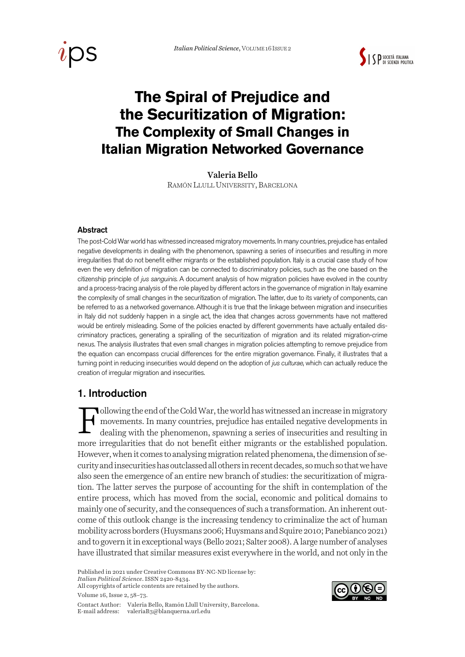



# **The Spiral of Prejudice and the Securitization of Migration: The Complexity of Small Changes in Italian Migration Networked Governance**

Valeria Bello

RAMÓN LLULL UNIVERSITY, BARCELONA

#### Abstract

The post-Cold War world has witnessed increased migratory movements. In many countries, prejudice has entailed negative developments in dealing with the phenomenon, spawning a series of insecurities and resulting in more irregularities that do not benefit either migrants or the established population. Italy is a crucial case study of how even the very definition of migration can be connected to discriminatory policies, such as the one based on the citizenship principle of *jus sanguinis*. A document analysis of how migration policies have evolved in the country and a process-tracing analysis of the role played by different actors in the governance of migration in Italy examine the complexity of small changes in the securitization of migration. The latter, due to its variety of components, can be referred to as a networked governance. Although it is true that the linkage between migration and insecurities in Italy did not suddenly happen in a single act, the idea that changes across governments have not mattered would be entirely misleading. Some of the policies enacted by different governments have actually entailed discriminatory practices, generating a spiralling of the securitization of migration and its related migration-crime nexus. The analysis illustrates that even small changes in migration policies attempting to remove prejudice from the equation can encompass crucial differences for the entire migration governance. Finally, it illustrates that a turning point in reducing insecurities would depend on the adoption of *jus culturae*, which can actually reduce the creation of irregular migration and insecurities.

### 1. Introduction

ollowing the end of the Cold War, the world has witnessed an increase in migratory movements. In many countries, prejudice has entailed negative developments in dealing with the phenomenon, spawning a series of insecurities and resulting in more irregularities that do not benefit either migrants or the established population. However, when it comes to analysing migration related phenomena, the dimension of security and insecurities has outclassed all others in recent decades, so much so that we have also seen the emergence of an entire new branch of studies: the securitization of migration. The latter serves the purpose of accounting for the shift in contemplation of the entire process, which has moved from the social, economic and political domains to mainly one of security, and the consequences of such a transformation. An inherent outcome of this outlook change is the increasing tendency to criminalize the act of human mobility across borders (Huysmans 2006; Huysmans and Squire 2010; Panebianco 2021) and to govern it in exceptional ways (Bello 2021; Salter 2008). A large number of analyses have illustrated that similar measures exist everywhere in the world, and not only in the F

*Italian Political Science*. ISSN 2420-8434. All copyrights of article contents are retained by the authors.

Volume 16, Issue 2, 58–73.



Published in 2021 under Creative Commons BY-NC-ND license by:

Contact Author: Valeria Bello, Ramón Llull University, Barcelona. E-mail address: valeriaB3@blanquerna.url.edu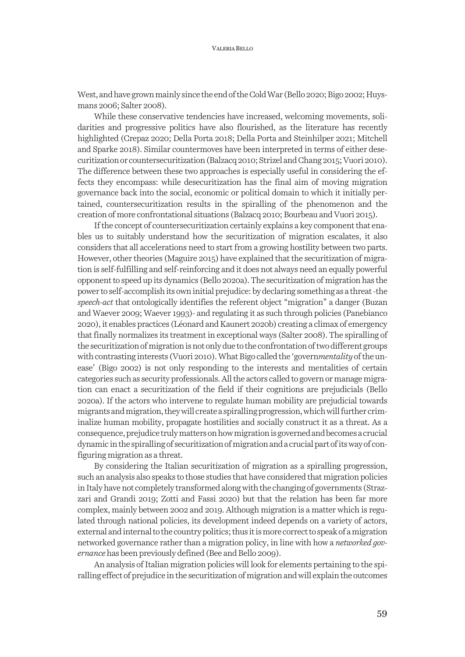West, and have grown mainly since the end of the Cold War (Bello 2020; Bigo 2002; Huysmans 2006; Salter 2008).

While these conservative tendencies have increased, welcoming movements, solidarities and progressive politics have also flourished, as the literature has recently highlighted (Crepaz 2020; Della Porta 2018; Della Porta and Steinhilper 2021; Mitchell and Sparke 2018). Similar countermoves have been interpreted in terms of either desecuritization or countersecuritization (Balzacq 2010; Strizel and Chang 2015; Vuori 2010). The difference between these two approaches is especially useful in considering the effects they encompass: while desecuritization has the final aim of moving migration governance back into the social, economic or political domain to which it initially pertained, countersecuritization results in the spiralling of the phenomenon and the creation of more confrontational situations (Balzacq 2010; Bourbeau and Vuori 2015).

If the concept of countersecuritization certainly explains a key component that enables us to suitably understand how the securitization of migration escalates, it also considers that all accelerations need to start from a growing hostility between two parts. However, other theories (Maguire 2015) have explained that the securitization of migration is self-fulfilling and self-reinforcing and it does not always need an equally powerful opponent to speed up its dynamics (Bello 2020a). The securitization of migration has the power to self-accomplish its own initial prejudice: by declaring something as a threat -the *speech-act* that ontologically identifies the referent object "migration" a danger (Buzan and Waever 2009; Waever 1993)- and regulating it as such through policies (Panebianco 2020), it enables practices (Léonard and Kaunert 2020b) creating a climax of emergency that finally normalizes its treatment in exceptional ways (Salter 2008). The spiralling of the securitization of migration is not only due to the confrontation of two different groups with contrasting interests (Vuori 2010).What Bigo called the 'govern*mentality* of the unease' (Bigo 2002) is not only responding to the interests and mentalities of certain categories such as security professionals. All the actors called to govern or manage migration can enact a securitization of the field if their cognitions are prejudicials (Bello 2020a). If the actors who intervene to regulate human mobility are prejudicial towards migrants and migration, they will create a spiralling progression, which will further criminalize human mobility, propagate hostilities and socially construct it as a threat. As a consequence, prejudice truly matters on how migration is governed and becomes a crucial dynamic in the spiralling of securitization of migration and a crucial part of its way of configuring migration as a threat.

By considering the Italian securitization of migration as a spiralling progression, such an analysis also speaks to those studies that have considered that migration policies in Italy have not completely transformed along with the changing of governments (Strazzari and Grandi 2019; Zotti and Fassi 2020) but that the relation has been far more complex, mainly between 2002 and 2019. Although migration is a matter which is regulated through national policies, its development indeed depends on a variety of actors, external and internal to the country politics; thus it is more correct to speak of a migration networked governance rather than a migration policy, in line with how a *networked governance* has been previously defined (Bee and Bello 2009).

An analysis of Italian migration policies will look for elements pertaining to the spiralling effect of prejudice in the securitization of migration and will explain the outcomes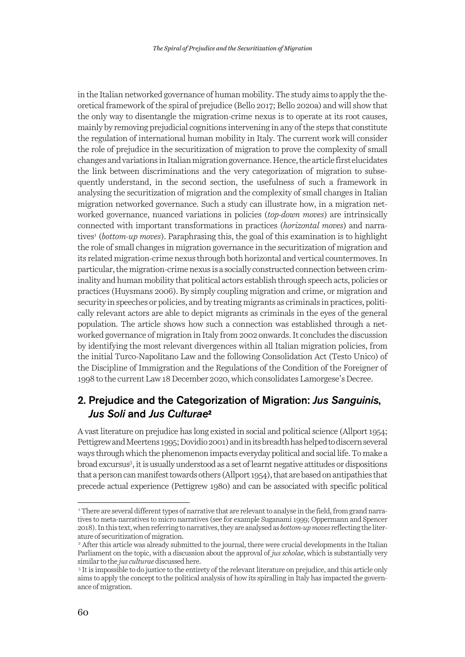in the Italian networked governance of human mobility. The study aims to apply the theoretical framework of the spiral of prejudice (Bello 2017; Bello 2020a) and will show that the only way to disentangle the migration-crime nexus is to operate at its root causes, mainly by removing prejudicial cognitions intervening in any of the steps that constitute the regulation of international human mobility in Italy. The current work will consider the role of prejudice in the securitization of migration to prove the complexity of small changes and variations in Italian migration governance. Hence, the article first elucidates the link between discriminations and the very categorization of migration to subsequently understand, in the second section, the usefulness of such a framework in analysing the securitization of migration and the complexity of small changes in Italian migration networked governance. Such a study can illustrate how, in a migration networked governance, nuanced variations in policies (*top-down moves*) are intrinsically connected with important transformations in practices (*horizontal moves*) and narratives<sup>1</sup> (*bottom-up moves*). Paraphrasing this, the goal of this examination is to highlight the role of small changes in migration governance in the securitization of migration and its related migration-crime nexus through both horizontal and vertical countermoves. In particular, the migration-crime nexus is a socially constructed connection between criminality and human mobility that political actors establish through speech acts, policies or practices (Huysmans 2006). By simply coupling migration and crime, or migration and security in speeches or policies, and by treating migrants as criminals in practices, politically relevant actors are able to depict migrants as criminals in the eyes of the general population. The article shows how such a connection was established through a networked governance of migration in Italy from 2002 onwards. It concludes the discussion by identifying the most relevant divergences within all Italian migration policies, from the initial Turco-Napolitano Law and the following Consolidation Act (Testo Unico) of the Discipline of Immigration and the Regulations of the Condition of the Foreigner of 1998 to the current Law 18 December 2020, which consolidates Lamorgese's Decree.

## 2. Prejudice and the Categorization of Migration: *Jus Sanguinis*, *Jus Soli* and *Jus Culturae*<sup>2</sup>

A vast literature on prejudice has long existed in social and political science (Allport 1954; Pettigrew and Meertens 1995; Dovidio 2001) and in its breadth has helped to discern several ways through which the phenomenon impacts everyday political and social life. To make a broad excursus<sup>3</sup>, it is usually understood as a set of learnt negative attitudes or dispositions that a person can manifest towards others (Allport 1954), that are based on antipathies that precede actual experience (Pettigrew 1980) and can be associated with specific political

<sup>&</sup>lt;sup>1</sup> There are several different types of narrative that are relevant to analyse in the field, from grand narratives to meta-narratives to micro narratives (see for example Suganami 1999; Oppermann and Spencer 2018). In this text, when referring to narratives, they are analysed as *bottom-up moves* reflecting the literature of securitization of migration.

<sup>&</sup>lt;sup>2</sup> After this article was already submitted to the journal, there were crucial developments in the Italian Parliament on the topic, with a discussion about the approval of *jus scholae*, which is substantially very similar to the *jus culturae* discussed here.

<sup>&</sup>lt;sup>3</sup> It is impossible to do justice to the entirety of the relevant literature on prejudice, and this article only aims to apply the concept to the political analysis of how its spiralling in Italy has impacted the governance of migration.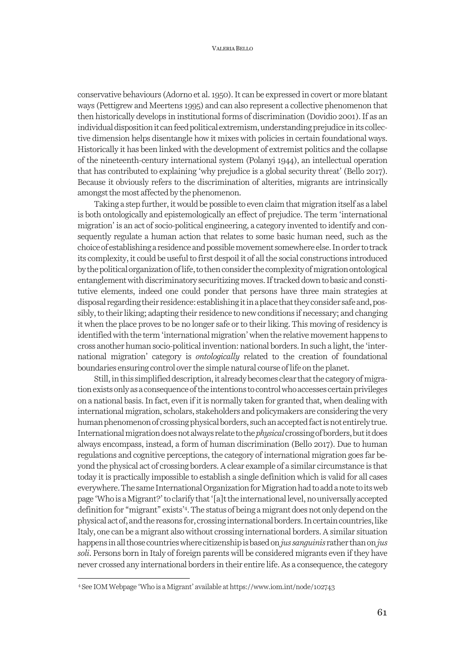#### VALERIA BELLO

conservative behaviours (Adorno et al. 1950). It can be expressed in covert or more blatant ways (Pettigrew and Meertens 1995) and can also represent a collective phenomenon that then historically develops in institutional forms of discrimination (Dovidio 2001). If as an individual disposition it can feed political extremism, understanding prejudice in its collective dimension helps disentangle how it mixes with policies in certain foundational ways. Historically it has been linked with the development of extremist politics and the collapse of the nineteenth-century international system (Polanyi 1944), an intellectual operation that has contributed to explaining 'why prejudice is a global security threat' (Bello 2017). Because it obviously refers to the discrimination of alterities, migrants are intrinsically amongst the most affected by the phenomenon.

Taking a step further, it would be possible to even claim that migration itself as a label is both ontologically and epistemologically an effect of prejudice. The term 'international migration' is an act of socio-political engineering, a category invented to identify and consequently regulate a human action that relates to some basic human need, such as the choice of establishing a residence and possible movement somewhere else. In order to track its complexity, it could be useful to first despoil it of all the social constructions introduced by the political organization of life, to then consider the complexity of migration ontological entanglement with discriminatory securitizing moves.If tracked down to basic and constitutive elements, indeed one could ponder that persons have three main strategies at disposal regarding their residence: establishing it in a place that they consider safe and, possibly, to their liking; adapting their residence to new conditions if necessary; and changing it when the place proves to be no longer safe or to their liking. This moving of residency is identified with the term 'international migration' when the relative movement happens to cross another human socio-political invention: national borders. In such a light, the 'international migration' category is *ontologically* related to the creation of foundational boundaries ensuring control over the simple natural course of life on the planet.

Still, in this simplified description, it already becomes clear that the category of migration exists only as a consequence of the intentions to control who accesses certain privileges on a national basis. In fact, even if it is normally taken for granted that, when dealing with international migration, scholars, stakeholders and policymakers are considering the very human phenomenon of crossing physical borders, such an accepted fact is not entirely true. International migration does not always relate to the *physical*crossing of borders, but it does always encompass, instead, a form of human discrimination (Bello 2017). Due to human regulations and cognitive perceptions, the category of international migration goes far beyond the physical act of crossing borders. A clear example of a similar circumstance is that today it is practically impossible to establish a single definition which is valid for all cases everywhere. The same International Organization for Migration had to add a note to its web page 'Who is a Migrant?' to clarify that '[a]t the international level, no universally accepted definition for "migrant" exists'4 . The status of being a migrant does not only depend on the physical act of, and the reasons for, crossing international borders. In certain countries, like Italy, one can be a migrant also without crossing international borders. A similar situation happens in all those countries where citizenship is based on *jus sanguinis* rather than on *jus soli*. Persons born in Italy of foreign parents will be considered migrants even if they have never crossed any international borders in their entire life. As a consequence, the category

<sup>4</sup> See IOM Webpage 'Who is a Migrant' available athttps://www.iom.int/node/102743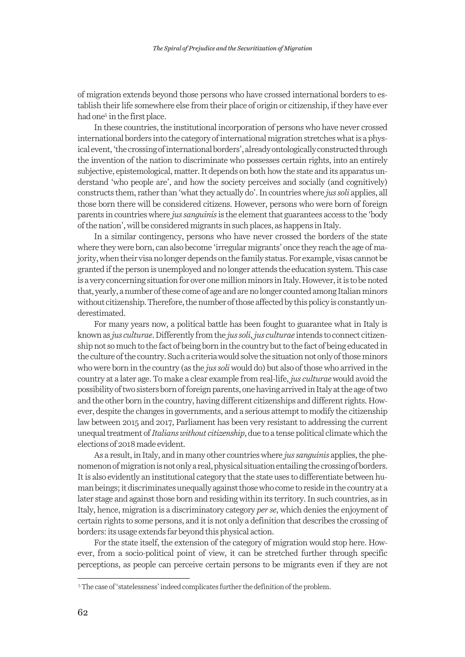of migration extends beyond those persons who have crossed international borders to establish their life somewhere else from their place of origin or citizenship, if they have ever had one<sup>5</sup> in the first place.

In these countries, the institutional incorporation of persons who have never crossed international borders into the category of international migration stretches what is a physical event, 'the crossing of international borders', already ontologically constructed through the invention of the nation to discriminate who possesses certain rights, into an entirely subjective, epistemological, matter. It depends on both how the state and its apparatus understand 'who people are', and how the society perceives and socially (and cognitively) constructs them, rather than 'what they actually do'. In countries where *jus soli* applies, all those born there will be considered citizens. However, persons who were born of foreign parents in countries where *jus sanguinis* is the element that guarantees access to the 'body of the nation', will be considered migrants in such places, as happens in Italy.

In a similar contingency, persons who have never crossed the borders of the state where they were born, can also become 'irregular migrants' once they reach the age of majority, when their visa no longer depends on the family status. For example, visas cannot be granted if the person is unemployed and no longer attends the education system. This case is a very concerning situation for over one million minors in Italy. However, it is to be noted that, yearly, a number of these come of age and are no longer counted among Italian minors without citizenship. Therefore, the number of those affected by this policy is constantly underestimated.

For many years now, a political battle has been fought to guarantee what in Italy is known as *jus culturae*. Differently from the *jus soli*, *jus culturae* intends to connect citizenship not so much to the fact of being born in the country but to the fact of being educated in the culture of the country. Such a criteria would solve the situation not only of those minors who were born in the country (as the *jus soli* would do) but also of those who arrived in the country at a later age. To make a clear example from real-life, *jus culturae* would avoid the possibility of two sisters born of foreign parents, one having arrived in Italy at the age of two and the other born in the country, having different citizenships and different rights. However, despite the changes in governments, and a serious attempt to modify the citizenship law between 2015 and 2017, Parliament has been very resistant to addressing the current unequal treatment of *Italians without citizenship*, due to a tense political climate which the elections of 2018 made evident.

As a result, in Italy, and in many other countries where *jus sanguinis* applies, the phenomenon of migration is not only a real, physical situation entailing the crossing of borders. It is also evidently an institutional category that the state uses to differentiate between human beings; it discriminates unequally against those who come to reside in the country at a later stage and against those born and residing within its territory. In such countries, as in Italy, hence, migration is a discriminatory category *per se*, which denies the enjoyment of certain rights to some persons, and it is not only a definition that describes the crossing of borders: its usage extends far beyond this physical action.

For the state itself, the extension of the category of migration would stop here. However, from a socio-political point of view, it can be stretched further through specific perceptions, as people can perceive certain persons to be migrants even if they are not

<sup>5</sup> The case of 'statelessness' indeed complicates further the definition of the problem.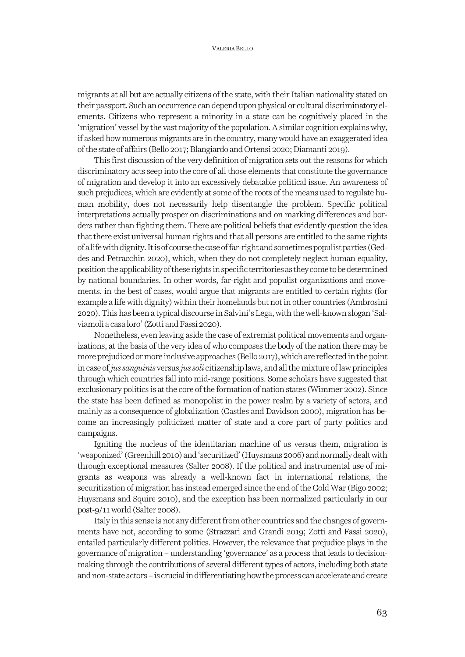#### VALERIA BELLO

migrants at all but are actually citizens of the state, with their Italian nationality stated on their passport. Such an occurrence can depend upon physical or cultural discriminatory elements. Citizens who represent a minority in a state can be cognitively placed in the 'migration' vessel by the vast majority of the population. A similar cognition explains why, if asked how numerous migrants are in the country, many would have an exaggerated idea of the state of affairs (Bello 2017; Blangiardo and Ortensi 2020; Diamanti 2019).

This first discussion of the very definition of migration sets out the reasons for which discriminatory acts seep into the core of all those elements that constitute the governance of migration and develop it into an excessively debatable political issue. An awareness of such prejudices, which are evidently at some of the roots of the means used to regulate human mobility, does not necessarily help disentangle the problem. Specific political interpretations actually prosper on discriminations and on marking differences and borders rather than fighting them. There are political beliefs that evidently question the idea that there exist universal human rights and that all persons are entitled to the same rights of a life with dignity. It is of course the case of far-right and sometimes populist parties (Geddes and Petracchin 2020), which, when they do not completely neglect human equality, position the applicability of these rights in specific territories as they come to be determined by national boundaries. In other words, far-right and populist organizations and movements, in the best of cases, would argue that migrants are entitled to certain rights (for example a life with dignity) within their homelands but not in other countries (Ambrosini 2020). This has been a typical discourse in Salvini's Lega, with the well-known slogan 'Salviamoli a casa loro' (Zotti and Fassi 2020).

Nonetheless, even leaving aside the case of extremist political movements and organizations, at the basis of the very idea of who composes the body of the nation there may be more prejudiced or more inclusive approaches (Bello 2017), which are reflected in the point in case of *jus sanguinis* versus *jus soli* citizenship laws, and all the mixture of law principles through which countries fall into mid-range positions. Some scholars have suggested that exclusionary politics is at the core of the formation of nation states (Wimmer 2002). Since the state has been defined as monopolist in the power realm by a variety of actors, and mainly as a consequence of globalization (Castles and Davidson 2000), migration has become an increasingly politicized matter of state and a core part of party politics and campaigns.

Igniting the nucleus of the identitarian machine of us versus them, migration is 'weaponized' (Greenhill 2010) and 'securitized' (Huysmans 2006) and normally dealt with through exceptional measures (Salter 2008). If the political and instrumental use of migrants as weapons was already a well-known fact in international relations, the securitization of migration has instead emerged since the end of the Cold War (Bigo 2002; Huysmans and Squire 2010), and the exception has been normalized particularly in our post-9/11 world (Salter 2008).

Italy in this sense is not any different from other countries and the changes of governments have not, according to some (Strazzari and Grandi 2019; Zotti and Fassi 2020), entailed particularly different politics. However, the relevance that prejudice plays in the governance of migration – understanding 'governance' as a process that leads to decisionmaking through the contributions of several different types of actors, including both state and non-state actors – is crucial in differentiating how the process can accelerate and create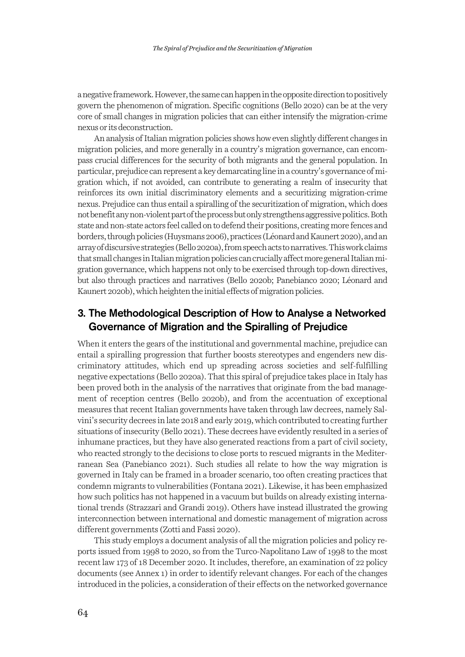a negative framework. However, the same can happen in the opposite direction to positively govern the phenomenon of migration. Specific cognitions (Bello 2020) can be at the very core of small changes in migration policies that can either intensify the migration-crime nexus or its deconstruction.

An analysis of Italian migration policies shows how even slightly different changes in migration policies, and more generally in a country's migration governance, can encompass crucial differences for the security of both migrants and the general population. In particular, prejudice can represent a key demarcating line in a country's governance of migration which, if not avoided, can contribute to generating a realm of insecurity that reinforces its own initial discriminatory elements and a securitizing migration-crime nexus. Prejudice can thus entail a spiralling of the securitization of migration, which does not benefit any non-violent part of the process but only strengthens aggressive politics. Both state and non-state actors feel called on to defend their positions, creating more fences and borders, through policies (Huysmans 2006), practices (Léonard and Kaunert 2020), and an array of discursive strategies (Bello 2020a), from speech acts to narratives. This work claims that small changes in Italian migration policies can crucially affect more general Italian migration governance, which happens not only to be exercised through top-down directives, but also through practices and narratives (Bello 2020b; Panebianco 2020; Léonard and Kaunert 2020b), which heighten the initial effects of migration policies.

# 3. The Methodological Description of How to Analyse a Networked Governance of Migration and the Spiralling of Prejudice

When it enters the gears of the institutional and governmental machine, prejudice can entail a spiralling progression that further boosts stereotypes and engenders new discriminatory attitudes, which end up spreading across societies and self-fulfilling negative expectations (Bello 2020a). That this spiral of prejudice takes place in Italy has been proved both in the analysis of the narratives that originate from the bad management of reception centres (Bello 2020b), and from the accentuation of exceptional measures that recent Italian governments have taken through law decrees, namely Salvini's security decrees in late 2018 and early 2019, which contributed to creating further situations of insecurity (Bello 2021). These decrees have evidently resulted in a series of inhumane practices, but they have also generated reactions from a part of civil society, who reacted strongly to the decisions to close ports to rescued migrants in the Mediterranean Sea (Panebianco 2021). Such studies all relate to how the way migration is governed in Italy can be framed in a broader scenario, too often creating practices that condemn migrants to vulnerabilities (Fontana 2021). Likewise, it has been emphasized how such politics has not happened in a vacuum but builds on already existing international trends (Strazzari and Grandi 2019). Others have instead illustrated the growing interconnection between international and domestic management of migration across different governments (Zotti and Fassi 2020).

This study employs a document analysis of all the migration policies and policy reports issued from 1998 to 2020, so from the Turco-Napolitano Law of 1998 to the most recent law 173 of 18 December 2020. It includes, therefore, an examination of 22 policy documents (see Annex 1) in order to identify relevant changes. For each of the changes introduced in the policies, a consideration of their effects on the networked governance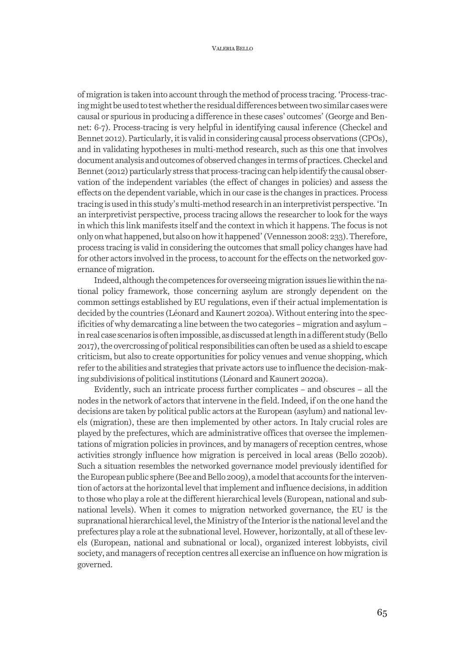of migration is taken into account through the method of process tracing. 'Process-tracing might be used to test whether the residual differences between two similar cases were causal or spurious in producing a difference in these cases' outcomes' (George and Bennet: 6-7). Process-tracing is very helpful in identifying causal inference (Checkel and Bennet 2012). Particularly, it is valid in considering causal process observations (CPOs), and in validating hypotheses in multi-method research, such as this one that involves document analysis and outcomes of observed changes in terms of practices. Checkel and Bennet (2012) particularly stress that process-tracing can help identify the causal observation of the independent variables (the effect of changes in policies) and assess the effects on the dependent variable, which in our case is the changes in practices. Process tracing is used in this study's multi-method research in an interpretivist perspective. 'In an interpretivist perspective, process tracing allows the researcher to look for the ways in which this link manifests itself and the context in which it happens. The focus is not only on what happened, but also on how it happened' (Vennesson 2008: 233). Therefore, process tracing is valid in considering the outcomes that small policy changes have had for other actors involved in the process, to account for the effects on the networked governance of migration.

Indeed, although the competences for overseeing migration issues lie within the national policy framework, those concerning asylum are strongly dependent on the common settings established by EU regulations, even if their actual implementation is decided by the countries (Léonard and Kaunert 2020a). Without entering into the specificities of why demarcating a line between the two categories – migration and asylum – in real case scenarios is often impossible, as discussed at length in a different study (Bello 2017), the overcrossing of political responsibilities can often be used as a shield to escape criticism, but also to create opportunities for policy venues and venue shopping, which refer to the abilities and strategies that private actors use to influence the decision-making subdivisions of political institutions (Léonard and Kaunert 2020a).

Evidently, such an intricate process further complicates – and obscures – all the nodes in the network of actors that intervene in the field. Indeed, if on the one hand the decisions are taken by political public actors at the European (asylum) and national levels (migration), these are then implemented by other actors. In Italy crucial roles are played by the prefectures, which are administrative offices that oversee the implementations of migration policies in provinces, and by managers of reception centres, whose activities strongly influence how migration is perceived in local areas (Bello 2020b). Such a situation resembles the networked governance model previously identified for the European public sphere (Bee and Bello 2009), a model that accounts for the intervention of actors at the horizontal level that implement and influence decisions, in addition to those who play a role at the different hierarchical levels (European, national and subnational levels). When it comes to migration networked governance, the EU is the supranational hierarchical level, the Ministry of the Interior is the national level and the prefectures play a role at the subnational level. However, horizontally, at all of these levels (European, national and subnational or local), organized interest lobbyists, civil society, and managers of reception centres all exercise an influence on how migration is governed.

65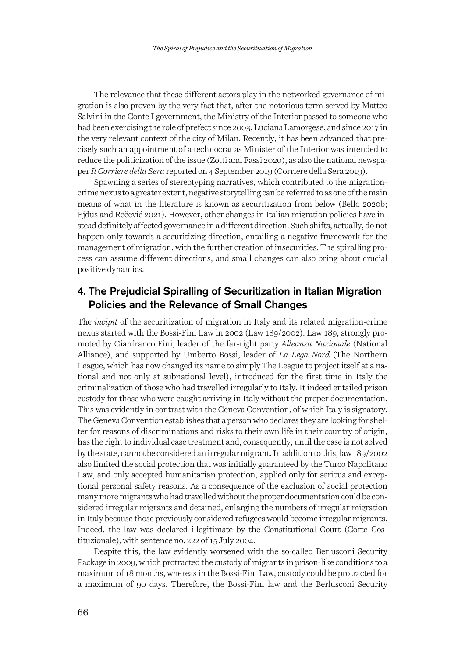The relevance that these different actors play in the networked governance of migration is also proven by the very fact that, after the notorious term served by Matteo Salvini in the Conte I government, the Ministry of the Interior passed to someone who had been exercising the role of prefect since 2003, Luciana Lamorgese, and since 2017 in the very relevant context of the city of Milan. Recently, it has been advanced that precisely such an appointment of a technocrat as Minister of the Interior was intended to reduce the politicization of the issue (Zotti and Fassi 2020), as also the national newspaper *Il Corriere della Sera* reported on 4 September 2019 (Corriere della Sera 2019).

Spawning a series of stereotyping narratives, which contributed to the migrationcrime nexus to a greater extent, negative storytelling can be referred to as one of the main means of what in the literature is known as securitization from below (Bello 2020b; Ejdus and Rečević 2021). However, other changes in Italian migration policies have instead definitely affected governance in a different direction. Such shifts, actually, do not happen only towards a securitizing direction, entailing a negative framework for the management of migration, with the further creation of insecurities. The spiralling process can assume different directions, and small changes can also bring about crucial positive dynamics.

# 4. The Prejudicial Spiralling of Securitization in Italian Migration Policies and the Relevance of Small Changes

The *incipit* of the securitization of migration in Italy and its related migration-crime nexus started with the Bossi-Fini Law in 2002 (Law 189/2002). Law 189, strongly promoted by Gianfranco Fini, leader of the far-right party *Alleanza Nazionale* (National Alliance), and supported by Umberto Bossi, leader of *La Lega Nord* (The Northern League, which has now changed its name to simply The League to project itself at a national and not only at subnational level), introduced for the first time in Italy the criminalization of those who had travelled irregularly to Italy. It indeed entailed prison custody for those who were caught arriving in Italy without the proper documentation. This was evidently in contrast with the Geneva Convention, of which Italy is signatory. The Geneva Convention establishes that a person who declares they are looking for shelter for reasons of discriminations and risks to their own life in their country of origin, has the right to individual case treatment and, consequently, until the case is not solved by the state, cannot be considered an irregular migrant. In addition to this, law 189/2002 also limited the social protection that was initially guaranteed by the Turco Napolitano Law, and only accepted humanitarian protection, applied only for serious and exceptional personal safety reasons. As a consequence of the exclusion of social protection many more migrants who had travelled without the proper documentation could be considered irregular migrants and detained, enlarging the numbers of irregular migration in Italy because those previously considered refugees would become irregular migrants. Indeed, the law was declared illegitimate by the Constitutional Court (Corte Costituzionale), with sentence no. 222 of 15 July 2004.

Despite this, the law evidently worsened with the so-called Berlusconi Security Package in 2009, which protracted the custody of migrants in prison-like conditions to a maximum of 18 months, whereas in the Bossi-Fini Law, custody could be protracted for a maximum of 90 days. Therefore, the Bossi-Fini law and the Berlusconi Security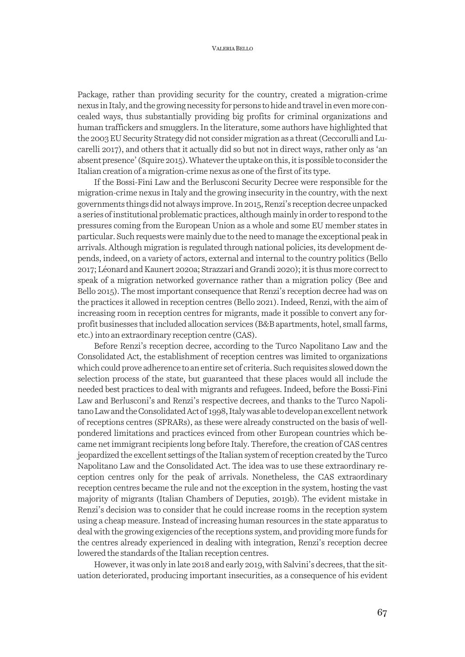#### VALERIA BELLO

Package, rather than providing security for the country, created a migration-crime nexus in Italy, and the growing necessity for persons to hide and travel in even more concealed ways, thus substantially providing big profits for criminal organizations and human traffickers and smugglers. In the literature, some authors have highlighted that the 2003 EU Security Strategy did not consider migration as a threat (Ceccorulli and Lucarelli 2017), and others that it actually did so but not in direct ways, rather only as 'an absent presence' (Squire 2015). Whatever the uptake on this, it is possible to consider the Italian creation of a migration-crime nexus as one of the first of its type.

If the Bossi-Fini Law and the Berlusconi Security Decree were responsible for the migration-crime nexus in Italy and the growing insecurity in the country, with the next governments things did not always improve. In 2015, Renzi's reception decree unpacked a series of institutional problematic practices, although mainly in order to respond to the pressures coming from the European Union as a whole and some EU member states in particular. Such requests were mainly due to the need to manage the exceptional peak in arrivals. Although migration is regulated through national policies, its development depends, indeed, on a variety of actors, external and internal to the country politics (Bello 2017; Léonard and Kaunert 2020a; Strazzari and Grandi 2020); it is thus more correct to speak of a migration networked governance rather than a migration policy (Bee and Bello 2015). The most important consequence that Renzi's reception decree had was on the practices it allowed in reception centres (Bello 2021). Indeed, Renzi, with the aim of increasing room in reception centres for migrants, made it possible to convert any forprofit businesses that included allocation services (B&B apartments, hotel, small farms, etc.) into an extraordinary reception centre (CAS).

Before Renzi's reception decree, according to the Turco Napolitano Law and the Consolidated Act, the establishment of reception centres was limited to organizations which could prove adherence to an entire set of criteria. Such requisites slowed down the selection process of the state, but guaranteed that these places would all include the needed best practices to deal with migrants and refugees. Indeed, before the Bossi-Fini Law and Berlusconi's and Renzi's respective decrees, and thanks to the Turco Napolitano Law and the Consolidated Act of 1998, Italy was able to develop an excellent network of receptions centres (SPRARs), as these were already constructed on the basis of wellpondered limitations and practices evinced from other European countries which became net immigrant recipients long before Italy. Therefore, the creation of CAS centres jeopardized the excellent settings of the Italian system of reception created by the Turco Napolitano Law and the Consolidated Act. The idea was to use these extraordinary reception centres only for the peak of arrivals. Nonetheless, the CAS extraordinary reception centres became the rule and not the exception in the system, hosting the vast majority of migrants (Italian Chambers of Deputies, 2019b). The evident mistake in Renzi's decision was to consider that he could increase rooms in the reception system using a cheap measure. Instead of increasing human resources in the state apparatus to deal with the growing exigencies of the receptions system, and providing more funds for the centres already experienced in dealing with integration, Renzi's reception decree lowered the standards of the Italian reception centres.

However, it was only in late 2018 and early 2019, with Salvini's decrees, that the situation deteriorated, producing important insecurities, as a consequence of his evident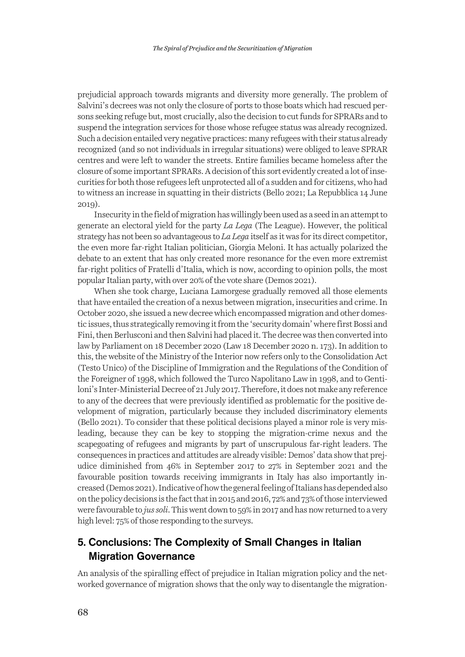prejudicial approach towards migrants and diversity more generally. The problem of Salvini's decrees was not only the closure of ports to those boats which had rescued persons seeking refuge but, most crucially, also the decision to cut funds for SPRARs and to suspend the integration services for those whose refugee status was already recognized. Such a decision entailed very negative practices: many refugees with their status already recognized (and so not individuals in irregular situations) were obliged to leave SPRAR centres and were left to wander the streets. Entire families became homeless after the closure of some important SPRARs. A decision of this sort evidently created a lot of insecurities for both those refugees left unprotected all of a sudden and for citizens, who had to witness an increase in squatting in their districts (Bello 2021; La Repubblica 14 June 2019).

Insecurity in the field of migration has willingly been used as a seed in an attempt to generate an electoral yield for the party *La Lega* (The League). However, the political strategy has not been so advantageous to *La Lega* itself as it was for its direct competitor, the even more far-right Italian politician, Giorgia Meloni. It has actually polarized the debate to an extent that has only created more resonance for the even more extremist far-right politics of Fratelli d'Italia, which is now, according to opinion polls, the most popular Italian party, with over 20% of the vote share (Demos 2021).

When she took charge, Luciana Lamorgese gradually removed all those elements that have entailed the creation of a nexus between migration, insecurities and crime. In October 2020, she issued a new decree which encompassed migration and other domestic issues, thus strategically removing it from the 'security domain' where first Bossi and Fini, then Berlusconi and then Salvini had placed it. The decree was then converted into law by Parliament on 18 December 2020 (Law 18 December 2020 n. 173). In addition to this, the website of the Ministry of the Interior now refers only to the Consolidation Act (Testo Unico) of the Discipline of Immigration and the Regulations of the Condition of the Foreigner of 1998, which followed the Turco Napolitano Law in 1998, and to Gentiloni's Inter-Ministerial Decree of 21 July 2017. Therefore, it does not make any reference to any of the decrees that were previously identified as problematic for the positive development of migration, particularly because they included discriminatory elements (Bello 2021). To consider that these political decisions played a minor role is very misleading, because they can be key to stopping the migration-crime nexus and the scapegoating of refugees and migrants by part of unscrupulous far-right leaders. The consequences in practices and attitudes are already visible: Demos' data show that prejudice diminished from 46% in September 2017 to 27% in September 2021 and the favourable position towards receiving immigrants in Italy has also importantly increased (Demos 2021). Indicative of how the general feeling of Italians has depended also on the policy decisions is the fact that in 2015 and 2016, 72% and 73% of those interviewed were favourable to *jus soli*. This went down to 59% in 2017 and has now returned to a very high level: 75% of those responding to the surveys.

### 5. Conclusions: The Complexity of Small Changes in Italian Migration Governance

An analysis of the spiralling effect of prejudice in Italian migration policy and the networked governance of migration shows that the only way to disentangle the migration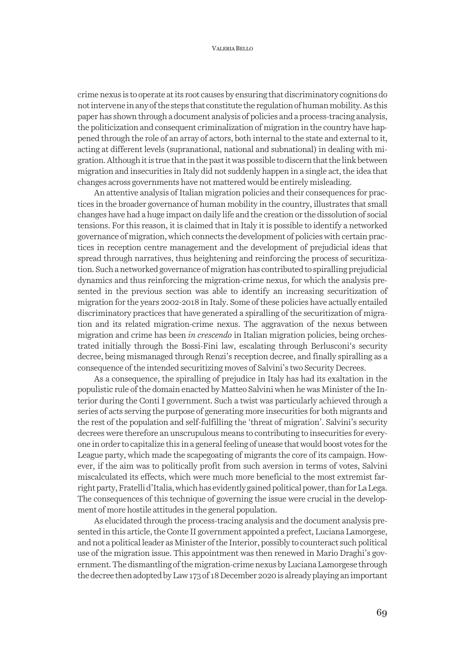crime nexus is to operate at its root causes by ensuring that discriminatory cognitions do not intervene in any of the steps that constitute the regulation of human mobility. As this paper has shown through a document analysis of policies and a process-tracing analysis, the politicization and consequent criminalization of migration in the country have happened through the role of an array of actors, both internal to the state and external to it, acting at different levels (supranational, national and subnational) in dealing with migration. Although it is true that in the past itwas possible to discern that the link between migration and insecurities in Italy did not suddenly happen in a single act, the idea that changes across governments have not mattered would be entirely misleading.

An attentive analysis of Italian migration policies and their consequences for practices in the broader governance of human mobility in the country, illustrates that small changes have had a huge impact on daily life and the creation or the dissolution of social tensions. For this reason, it is claimed that in Italy it is possible to identify a networked governance of migration, which connects the development of policies with certain practices in reception centre management and the development of prejudicial ideas that spread through narratives, thus heightening and reinforcing the process of securitization. Such a networked governance of migration has contributed to spiralling prejudicial dynamics and thus reinforcing the migration-crime nexus, for which the analysis presented in the previous section was able to identify an increasing securitization of migration for the years 2002-2018 in Italy. Some of these policies have actually entailed discriminatory practices that have generated a spiralling of the securitization of migration and its related migration-crime nexus. The aggravation of the nexus between migration and crime has been *in crescendo* in Italian migration policies, being orchestrated initially through the Bossi-Fini law, escalating through Berlusconi's security decree, being mismanaged through Renzi's reception decree, and finally spiralling as a consequence of the intended securitizing moves of Salvini's two Security Decrees.

As a consequence, the spiralling of prejudice in Italy has had its exaltation in the populistic rule of the domain enacted by Matteo Salvini when he was Minister of the Interior during the Conti I government. Such a twist was particularly achieved through a series of acts serving the purpose of generating more insecurities for both migrants and the rest of the population and self-fulfilling the 'threat of migration'. Salvini's security decrees were therefore an unscrupulous means to contributing to insecurities for everyone in order to capitalize this in a general feeling of unease that would boost votes for the League party, which made the scapegoating of migrants the core of its campaign. However, if the aim was to politically profit from such aversion in terms of votes, Salvini miscalculated its effects, which were much more beneficial to the most extremist farright party, Fratelli d'Italia, which has evidently gained political power, than for La Lega. The consequences of this technique of governing the issue were crucial in the development of more hostile attitudes in the general population.

As elucidated through the process-tracing analysis and the document analysis presented in this article, the Conte II government appointed a prefect, Luciana Lamorgese, and not a political leader as Minister of the Interior, possibly to counteract such political use of the migration issue. This appointment was then renewed in Mario Draghi's government. The dismantling of the migration-crime nexus by Luciana Lamorgese through the decree then adopted by Law 173 of 18 December 2020 is already playing an important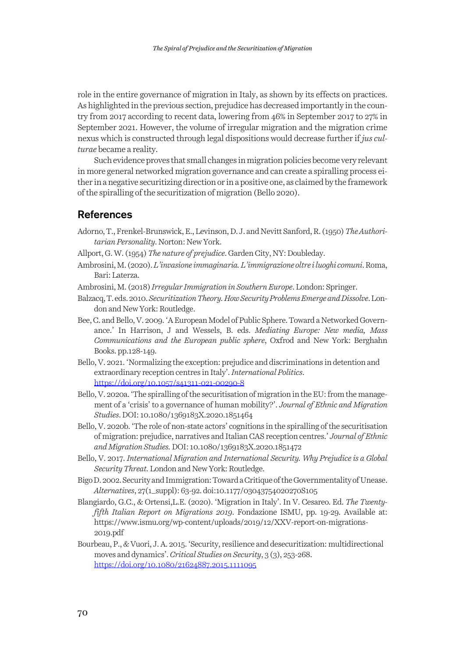role in the entire governance of migration in Italy, as shown by its effects on practices. As highlighted in the previous section, prejudice has decreased importantly in the country from 2017 according to recent data, lowering from 46% in September 2017 to 27% in September 2021. However, the volume of irregular migration and the migration crime nexus which is constructed through legal dispositions would decrease further if *jus culturae* became a reality.

Such evidence proves that small changes in migration policies become very relevant in more general networked migration governance and can create a spiralling process either in a negative securitizing direction or in a positive one, as claimed by the framework of the spiralling of the securitization of migration (Bello 2020).

### **References**

Adorno, T., Frenkel-Brunswick, E., Levinson, D. J. and Nevitt Sanford, R. (1950) *The Authoritarian Personality*. Norton: New York.

Allport, G. W. (1954) *The nature of prejudice*. Garden City, NY: Doubleday.

- Ambrosini, M. (2020). *L'invasione immaginaria. L'immigrazione oltre i luoghi comuni*. Roma, Bari: Laterza.
- Ambrosini, M. (2018) *Irregular Immigration in Southern Europe*. London: Springer.
- Balzacq, T. eds. 2010. *Securitization Theory. How Security Problems Emerge and Dissolve*. London and New York: Routledge.
- Bee, C. and Bello, V. 2009. 'A European Model of Public Sphere. Toward a Networked Governance.' In Harrison, J and Wessels, B. eds. *Mediating Europe: New media, Mass Communications and the European public sphere*, Oxfrod and New York: Berghahn Books. pp.128-149.
- Bello, V. 2021. 'Normalizing the exception: prejudice and discriminations in detention and extraordinary reception centres in Italy'. *International Politics*. https://doi.org/10.1057/s41311-021-00290-8
- Bello, V. 2020a. 'The spiralling of the securitisation of migration in the EU: from the management of a 'crisis' to a governance of human mobility?'. *Journal of Ethnic and Migration Studies*. DOI: 10.1080/1369183X.2020.1851464
- Bello, V. 2020b. 'The role of non-state actors' cognitions in the spiralling of the securitisation of migration: prejudice, narratives and Italian CAS reception centres.' *Journal of Ethnic and Migration Studies.* DOI: 10.1080/1369183X.2020.1851472
- Bello, V. 2017. *International Migration and International Security. Why Prejudice is a Global Security Threat.* London and New York: Routledge.
- Bigo D. 2002. Security and Immigration: Toward a Critique of the Governmentality of Unease. *Alternatives*, 27(1\_suppl): 63-92. doi:10.1177/03043754020270S105
- Blangiardo, G.C., & Ortensi,L.E. (2020). 'Migration in Italy'. In V. Cesareo. Ed. *The Twentyfifth Italian Report on Migrations 2019*. Fondazione ISMU, pp. 19-29. Available at: https://www.ismu.org/wp-content/uploads/2019/12/XXV-report-on-migrations-2019.pdf
- Bourbeau, P., & Vuori, J. A. 2015. 'Security, resilience and desecuritization: multidirectional moves and dynamics'. *Critical Studies on Security*, 3 (3), 253-268. https://doi.org/10.1080/21624887.2015.1111095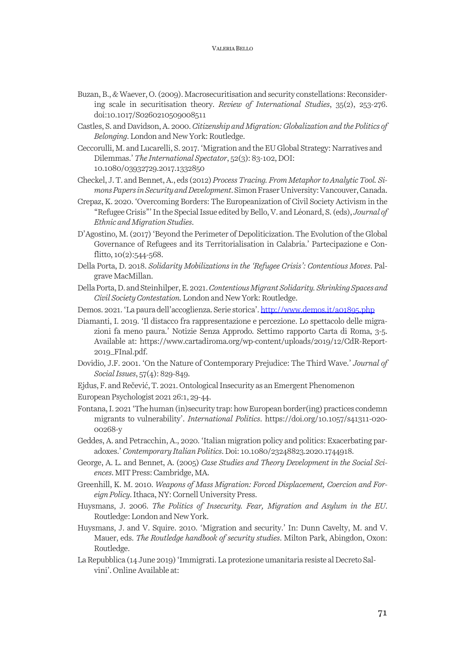- Buzan, B., & Waever, O. (2009). Macrosecuritisation and security constellations: Reconsidering scale in securitisation theory. *Review of International Studies*, 35(2), 253-276. doi:10.1017/S0260210509008511
- Castles, S. and Davidson, A. 2000. *Citizenship and Migration: Globalization and the Politics of Belonging*. London and New York: Routledge.
- Ceccorulli, M. and Lucarelli, S. 2017. 'Migration and the EU Global Strategy: Narratives and Dilemmas.' *The International Spectator*, 52(3): 83-102, DOI: 10.1080/03932729.2017.1332850
- Checkel, J. T. and Bennet, A., eds (2012) *Process Tracing. From Metaphor to Analytic Tool. Simons Papers in Security and Development*. Simon Fraser University: Vancouver, Canada.
- Crepaz, K. 2020. 'Overcoming Borders: The Europeanization of Civil Society Activism in the "Refugee Crisis"' In the Special Issue edited by Bello, V. and Léonard, S. (eds), *Journal of Ethnic and Migration Studies*.
- D'Agostino, M. (2017) 'Beyond the Perimeter of Depoliticization. The Evolution of the Global Governance of Refugees and its Territorialisation in Calabria.' Partecipazione e Conflitto,  $10(2):544-568$ .
- Della Porta, D. 2018. *Solidarity Mobilizations in the 'Refugee Crisis': Contentious Moves*. Palgrave MacMillan.
- Della Porta, D. and Steinhilper, E. 2021. *Contentious Migrant Solidarity. Shrinking Spaces and Civil Society Contestation.*London and New York: Routledge.
- Demos. 2021. 'La paura dell'accoglienza. Serie storica'. http://www.demos.it/a01895.php
- Diamanti, I. 2019. 'Il distacco fra rappresentazione e percezione. Lo spettacolo delle migrazioni fa meno paura.' Notizie Senza Approdo. Settimo rapporto Carta di Roma, 3-5. Available at: https://www.cartadiroma.org/wp-content/uploads/2019/12/CdR-Report-2019\_FInal.pdf.
- Dovidio, J.F. 2001. 'On the Nature of Contemporary Prejudice: The Third Wave.' *Journal of Social Issues*, 57(4): 829-849.
- Ejdus, F. and Rečević, T. 2021. Ontological Insecurity as an Emergent Phenomenon
- European Psychologist 2021 26:1, 29-44.
- Fontana, I. 2021 'The human (in)security trap: how European border(ing) practices condemn migrants to vulnerability'. *International Politics*. https://doi.org/10.1057/s41311-020- 00268-y
- Geddes, A. and Petracchin, A., 2020. 'Italian migration policy and politics: Exacerbating paradoxes.' *Contemporary Italian Politics*. Doi: 10.1080/23248823.2020.1744918.
- George, A. L. and Bennet, A. (2005) *Case Studies and Theory Development in the Social Sciences*. MIT Press: Cambridge, MA.
- Greenhill, K. M. 2010. *Weapons of Mass Migration: Forced Displacement, Coercion and Foreign Policy*. Ithaca, NY: Cornell University Press.
- Huysmans, J. 2006. *The Politics of Insecurity. Fear, Migration and Asylum in the EU*. Routledge: London and New York.
- Huysmans, J. and V. Squire. 2010. 'Migration and security.' In: Dunn Cavelty, M. and V. Mauer, eds. *The Routledge handbook of security studies*. Milton Park, Abingdon, Oxon: Routledge.
- La Repubblica (14 June 2019) 'Immigrati. La protezione umanitaria resiste al Decreto Salvini'. Online Available at: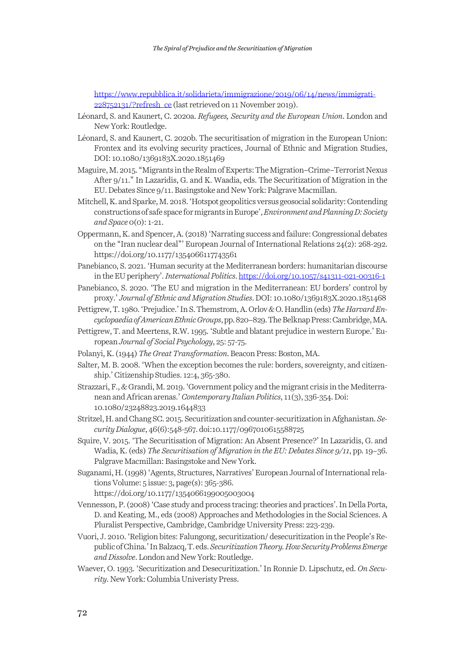https://www.repubblica.it/solidarieta/immigrazione/2019/06/14/news/immigrati-228752131/?refresh\_ce (last retrieved on 11 November 2019).

- Léonard, S. and Kaunert, C. 2020a. *Refugees, Security and the European Union*. London and New York: Routledge.
- Léonard, S. and Kaunert, C. 2020b. The securitisation of migration in the European Union: Frontex and its evolving security practices, Journal of Ethnic and Migration Studies, DOI: 10.1080/1369183X.2020.1851469
- Maguire, M. 2015. "Migrants in the Realm of Experts: The Migration–Crime–Terrorist Nexus After 9/11." In Lazaridis, G. and K. Waadia, eds. The Securitization of Migration in the EU. Debates Since 9/11. Basingstoke and New York: Palgrave Macmillan.
- Mitchell, K. and Sparke, M. 2018. 'Hotspot geopolitics versus geosocial solidarity: Contending constructions of safe space for migrants in Europe', *Environmentand Planning D: Society and Space* 0(0): 1-21.
- Oppermann, K. and Spencer, A. (2018) 'Narrating success and failure: Congressional debates on the "Iran nuclear deal"' European Journal of International Relations 24(2): 268-292. https://doi.org/10.1177/1354066117743561
- Panebianco, S. 2021. 'Human security at the Mediterranean borders: humanitarian discourse in the EU periphery'. *International Politics*. https://doi.org/10.1057/s41311-021-00316-1
- Panebianco, S. 2020. 'The EU and migration in the Mediterranean: EU borders' control by proxy.' *Journal of Ethnic and Migration Studies*. DOI: 10.1080/1369183X.2020.1851468
- Pettigrew, T. 1980. 'Prejudice.' In S. Themstrom, A. Orlov & O. Handlin (eds) *The Harvard Encyclopaedia of American Ethnic Groups*, pp. 820–829. The Belknap Press: Cambridge, MA.
- Pettigrew, T. and Meertens, R.W. 1995. 'Subtle and blatant prejudice in western Europe.' European *Journal of Social Psychology*, 25: 57-75.
- Polanyi, K. (1944) *The Great Transformation*. Beacon Press: Boston, MA.
- Salter, M. B. 2008. 'When the exception becomes the rule: borders, sovereignty, and citizenship.' Citizenship Studies. 12:4, 365-380.
- Strazzari, F., & Grandi, M. 2019. 'Government policy and the migrant crisis in the Mediterranean and African arenas.' *Contemporary Italian Politics*, 11(3), 336-354. Doi: 10.1080/23248823.2019.1644833
- Stritzel, H. and Chang SC. 2015. Securitization and counter-securitization in Afghanistan. *Security Dialogue*, 46(6):548-567. doi:10.1177/0967010615588725
- Squire, V. 2015. 'The Securitisation of Migration: An Absent Presence?' In Lazaridis, G. and Wadia, K. (eds) *The Securitisation of Migration in the EU: Debates Since 9/11*, pp. 19–36. Palgrave Macmillan: Basingstoke and New York.
- Suganami, H. (1998) 'Agents, Structures, Narratives' European Journal of International relations Volume: 5 issue: 3, page(s): 365-386.

https://doi.org/10.1177/1354066199005003004

- Vennesson, P. (2008) 'Case study and process tracing: theories and practices'. In Della Porta, D. and Keating, M., eds (2008) Approaches and Methodologies in the Social Sciences. A Pluralist Perspective, Cambridge, Cambridge University Press: 223-239.
- Vuori, J. 2010. 'Religion bites: Falungong, securitization/ desecuritization in the People's Republic of China.' In Balzacq, T. eds. *Securitization Theory. How Security Problems Emerge and Dissolve*. London and New York: Routledge.
- Waever, O. 1993. 'Securitization and Desecuritization.' In Ronnie D. Lipschutz, ed. *On Security*. New York: Columbia Univeristy Press.